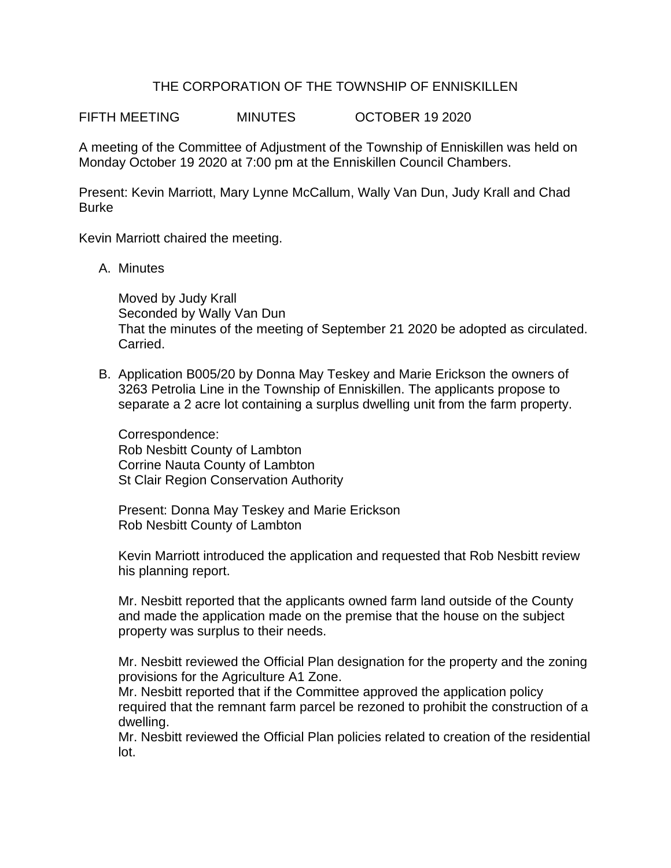## THE CORPORATION OF THE TOWNSHIP OF ENNISKILLEN

FIFTH MEETING MINUTES OCTOBER 19 2020

A meeting of the Committee of Adjustment of the Township of Enniskillen was held on Monday October 19 2020 at 7:00 pm at the Enniskillen Council Chambers.

Present: Kevin Marriott, Mary Lynne McCallum, Wally Van Dun, Judy Krall and Chad **Burke** 

Kevin Marriott chaired the meeting.

A. Minutes

Moved by Judy Krall Seconded by Wally Van Dun That the minutes of the meeting of September 21 2020 be adopted as circulated. Carried.

B. Application B005/20 by Donna May Teskey and Marie Erickson the owners of 3263 Petrolia Line in the Township of Enniskillen. The applicants propose to separate a 2 acre lot containing a surplus dwelling unit from the farm property.

Correspondence: Rob Nesbitt County of Lambton Corrine Nauta County of Lambton St Clair Region Conservation Authority

Present: Donna May Teskey and Marie Erickson Rob Nesbitt County of Lambton

Kevin Marriott introduced the application and requested that Rob Nesbitt review his planning report.

Mr. Nesbitt reported that the applicants owned farm land outside of the County and made the application made on the premise that the house on the subject property was surplus to their needs.

Mr. Nesbitt reviewed the Official Plan designation for the property and the zoning provisions for the Agriculture A1 Zone.

Mr. Nesbitt reported that if the Committee approved the application policy required that the remnant farm parcel be rezoned to prohibit the construction of a dwelling.

Mr. Nesbitt reviewed the Official Plan policies related to creation of the residential lot.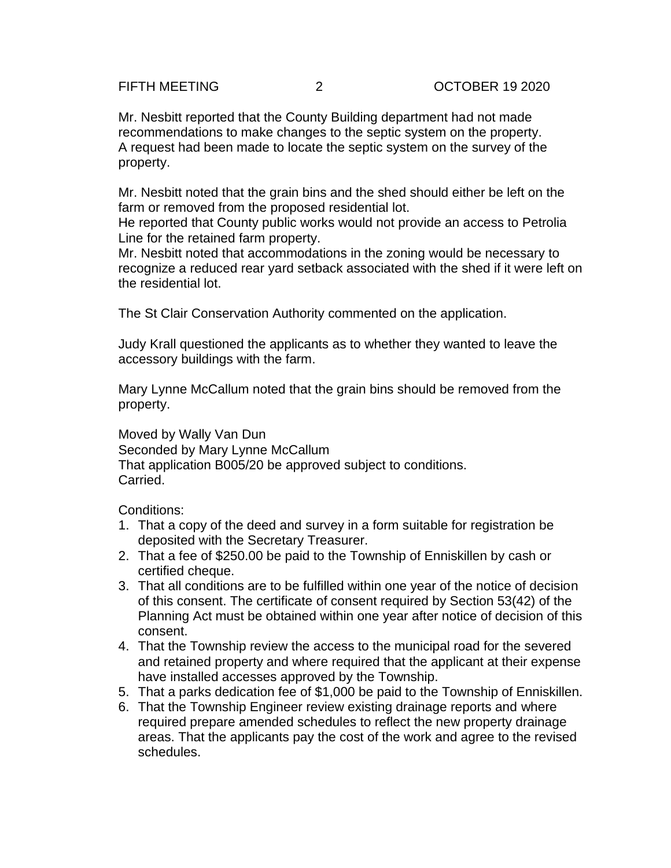Mr. Nesbitt reported that the County Building department had not made recommendations to make changes to the septic system on the property. A request had been made to locate the septic system on the survey of the property.

Mr. Nesbitt noted that the grain bins and the shed should either be left on the farm or removed from the proposed residential lot.

He reported that County public works would not provide an access to Petrolia Line for the retained farm property.

Mr. Nesbitt noted that accommodations in the zoning would be necessary to recognize a reduced rear yard setback associated with the shed if it were left on the residential lot.

The St Clair Conservation Authority commented on the application.

Judy Krall questioned the applicants as to whether they wanted to leave the accessory buildings with the farm.

Mary Lynne McCallum noted that the grain bins should be removed from the property.

Moved by Wally Van Dun Seconded by Mary Lynne McCallum That application B005/20 be approved subject to conditions. Carried.

Conditions:

- 1. That a copy of the deed and survey in a form suitable for registration be deposited with the Secretary Treasurer.
- 2. That a fee of \$250.00 be paid to the Township of Enniskillen by cash or certified cheque.
- 3. That all conditions are to be fulfilled within one year of the notice of decision of this consent. The certificate of consent required by Section 53(42) of the Planning Act must be obtained within one year after notice of decision of this consent.
- 4. That the Township review the access to the municipal road for the severed and retained property and where required that the applicant at their expense have installed accesses approved by the Township.
- 5. That a parks dedication fee of \$1,000 be paid to the Township of Enniskillen.
- 6. That the Township Engineer review existing drainage reports and where required prepare amended schedules to reflect the new property drainage areas. That the applicants pay the cost of the work and agree to the revised schedules.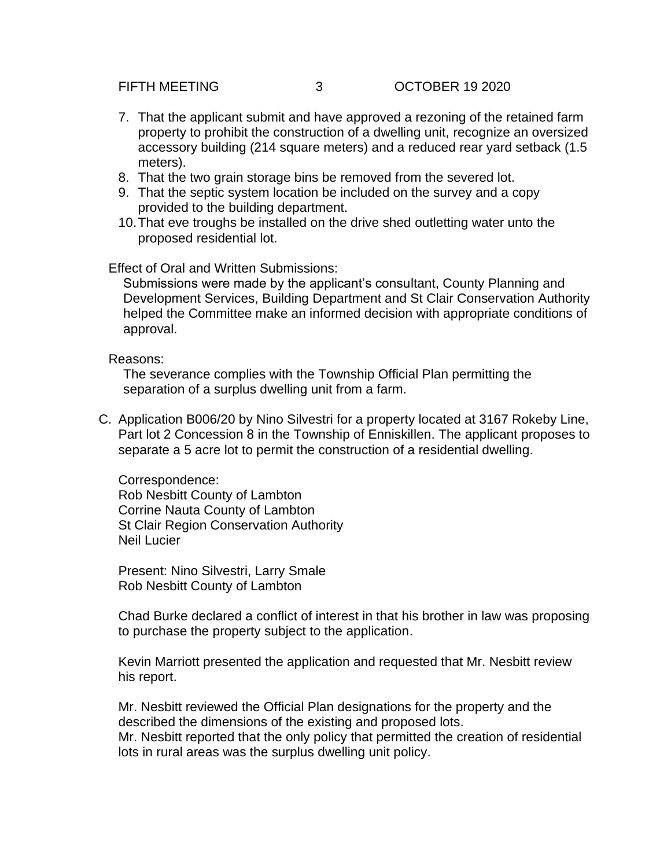- 7. That the applicant submit and have approved a rezoning of the retained farm property to prohibit the construction of a dwelling unit, recognize an oversized accessory building (214 square meters) and a reduced rear yard setback (1.5 meters).
- 8. That the two grain storage bins be removed from the severed lot.
- 9. That the septic system location be included on the survey and a copy provided to the building department.
- 10.That eve troughs be installed on the drive shed outletting water unto the proposed residential lot.

Effect of Oral and Written Submissions:

Submissions were made by the applicant's consultant, County Planning and Development Services, Building Department and St Clair Conservation Authority helped the Committee make an informed decision with appropriate conditions of approval.

Reasons:

The severance complies with the Township Official Plan permitting the separation of a surplus dwelling unit from a farm.

C. Application B006/20 by Nino Silvestri for a property located at 3167 Rokeby Line, Part lot 2 Concession 8 in the Township of Enniskillen. The applicant proposes to separate a 5 acre lot to permit the construction of a residential dwelling.

Correspondence: Rob Nesbitt County of Lambton Corrine Nauta County of Lambton St Clair Region Conservation Authority Neil Lucier

Present: Nino Silvestri, Larry Smale Rob Nesbitt County of Lambton

Chad Burke declared a conflict of interest in that his brother in law was proposing to purchase the property subject to the application.

Kevin Marriott presented the application and requested that Mr. Nesbitt review his report.

Mr. Nesbitt reviewed the Official Plan designations for the property and the described the dimensions of the existing and proposed lots. Mr. Nesbitt reported that the only policy that permitted the creation of residential lots in rural areas was the surplus dwelling unit policy.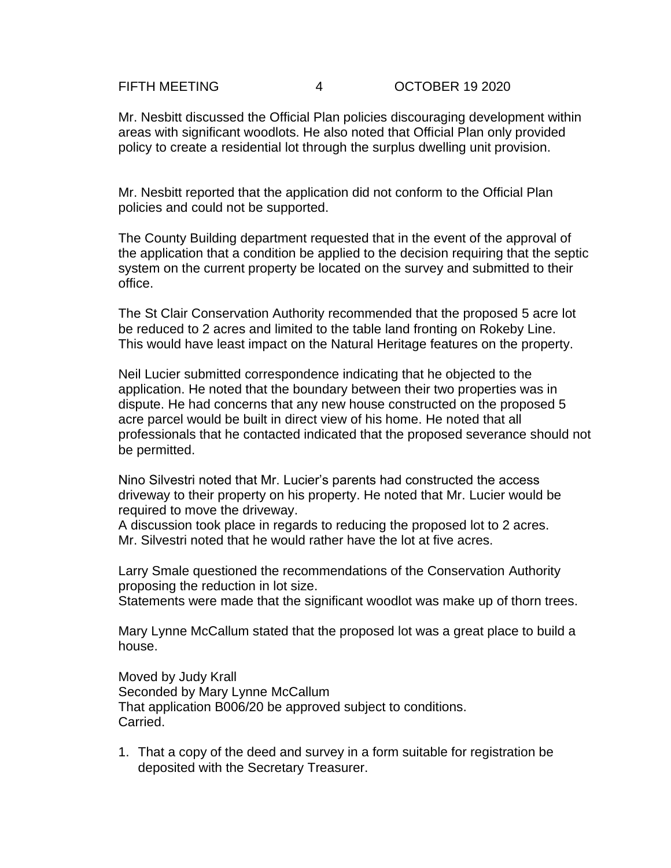### FIFTH MEETING 4 OCTOBER 19 2020

Mr. Nesbitt discussed the Official Plan policies discouraging development within areas with significant woodlots. He also noted that Official Plan only provided policy to create a residential lot through the surplus dwelling unit provision.

Mr. Nesbitt reported that the application did not conform to the Official Plan policies and could not be supported.

The County Building department requested that in the event of the approval of the application that a condition be applied to the decision requiring that the septic system on the current property be located on the survey and submitted to their office.

The St Clair Conservation Authority recommended that the proposed 5 acre lot be reduced to 2 acres and limited to the table land fronting on Rokeby Line. This would have least impact on the Natural Heritage features on the property.

Neil Lucier submitted correspondence indicating that he objected to the application. He noted that the boundary between their two properties was in dispute. He had concerns that any new house constructed on the proposed 5 acre parcel would be built in direct view of his home. He noted that all professionals that he contacted indicated that the proposed severance should not be permitted.

Nino Silvestri noted that Mr. Lucier's parents had constructed the access driveway to their property on his property. He noted that Mr. Lucier would be required to move the driveway.

A discussion took place in regards to reducing the proposed lot to 2 acres. Mr. Silvestri noted that he would rather have the lot at five acres.

Larry Smale questioned the recommendations of the Conservation Authority proposing the reduction in lot size.

Statements were made that the significant woodlot was make up of thorn trees.

Mary Lynne McCallum stated that the proposed lot was a great place to build a house.

Moved by Judy Krall Seconded by Mary Lynne McCallum That application B006/20 be approved subject to conditions. Carried.

1. That a copy of the deed and survey in a form suitable for registration be deposited with the Secretary Treasurer.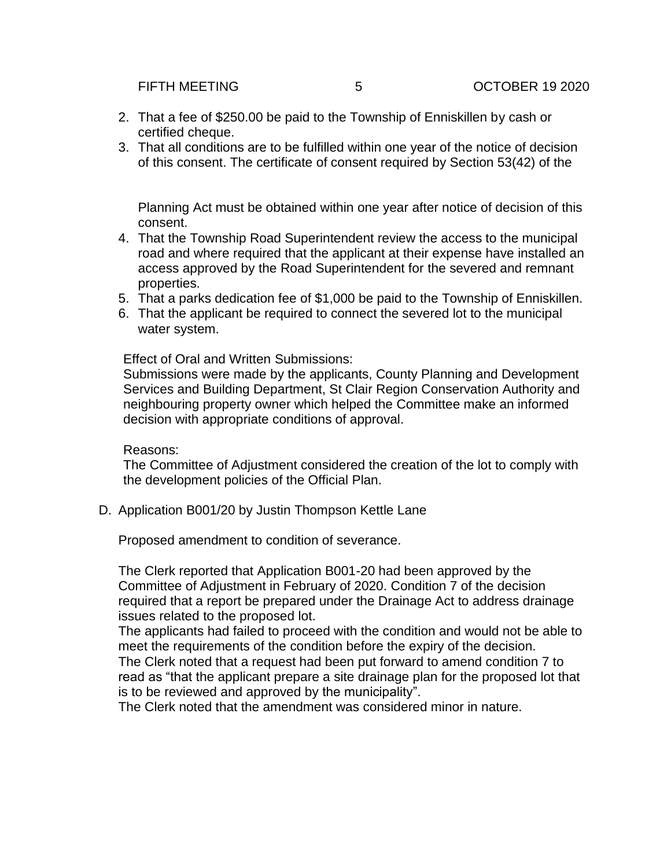- 2. That a fee of \$250.00 be paid to the Township of Enniskillen by cash or certified cheque.
- 3. That all conditions are to be fulfilled within one year of the notice of decision of this consent. The certificate of consent required by Section 53(42) of the

Planning Act must be obtained within one year after notice of decision of this consent.

- 4. That the Township Road Superintendent review the access to the municipal road and where required that the applicant at their expense have installed an access approved by the Road Superintendent for the severed and remnant properties.
- 5. That a parks dedication fee of \$1,000 be paid to the Township of Enniskillen.
- 6. That the applicant be required to connect the severed lot to the municipal water system.

Effect of Oral and Written Submissions:

Submissions were made by the applicants, County Planning and Development Services and Building Department, St Clair Region Conservation Authority and neighbouring property owner which helped the Committee make an informed decision with appropriate conditions of approval.

### Reasons:

The Committee of Adjustment considered the creation of the lot to comply with the development policies of the Official Plan.

D. Application B001/20 by Justin Thompson Kettle Lane

Proposed amendment to condition of severance.

The Clerk reported that Application B001-20 had been approved by the Committee of Adjustment in February of 2020. Condition 7 of the decision required that a report be prepared under the Drainage Act to address drainage issues related to the proposed lot.

The applicants had failed to proceed with the condition and would not be able to meet the requirements of the condition before the expiry of the decision. The Clerk noted that a request had been put forward to amend condition 7 to read as "that the applicant prepare a site drainage plan for the proposed lot that is to be reviewed and approved by the municipality".

The Clerk noted that the amendment was considered minor in nature.